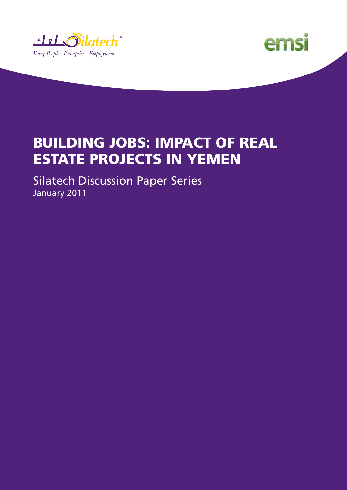



### Building Jobs: Impact of Real Estate Projects in Yemen

Silatech Discussion Paper Series January 2011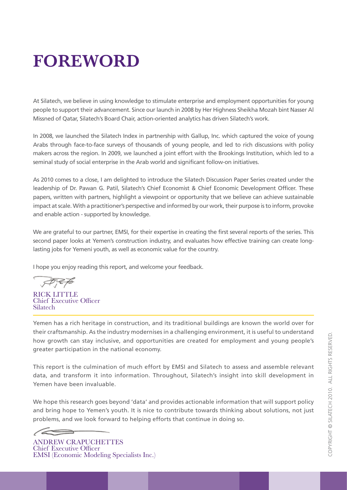## **Foreword**

At Silatech, we believe in using knowledge to stimulate enterprise and employment opportunities for young people to support their advancement. Since our launch in 2008 by Her Highness Sheikha Mozah bint Nasser Al Missned of Qatar, Silatech's Board Chair, action-oriented analytics has driven Silatech's work.

In 2008, we launched the Silatech Index in partnership with Gallup, Inc. which captured the voice of young Arabs through face-to-face surveys of thousands of young people, and led to rich discussions with policy makers across the region. In 2009, we launched a joint effort with the Brookings Institution, which led to a seminal study of social enterprise in the Arab world and significant follow-on initiatives.

As 2010 comes to a close, I am delighted to introduce the Silatech Discussion Paper Series created under the leadership of Dr. Pawan G. Patil, Silatech's Chief Economist & Chief Economic Development Officer. These papers, written with partners, highlight a viewpoint or opportunity that we believe can achieve sustainable impact at scale. With a practitioner's perspective and informed by our work, their purpose is to inform, provoke and enable action - supported by knowledge.

We are grateful to our partner, EMSI, for their expertise in creating the first several reports of the series. This second paper looks at Yemen's construction industry, and evaluates how effective training can create longlasting jobs for Yemeni youth, as well as economic value for the country.

I hope you enjoy reading this report, and welcome your feedback.

t 7, E 76

RICK LITTLE Chief Executive Officer Silatech

Yemen has a rich heritage in construction, and its traditional buildings are known the world over for their craftsmanship. As the industry modernises in a challenging environment, it is useful to understand how growth can stay inclusive, and opportunities are created for employment and young people's greater participation in the national economy.

This report is the culmination of much effort by EMSI and Silatech to assess and assemble relevant data, and transform it into information. Throughout, Silatech's insight into skill development in Yemen have been invaluable.

We hope this research goes beyond 'data' and provides actionable information that will support policy and bring hope to Yemen's youth. It is nice to contribute towards thinking about solutions, not just problems, and we look forward to helping efforts that continue in doing so.

ANDREW CRAPUCHETTES Chief Executive Officer EMSI (Economic Modeling Specialists Inc.)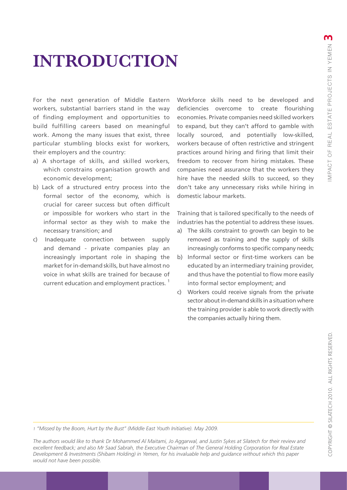### **INTRODUCTION**

For the next generation of Middle Eastern workers, substantial barriers stand in the way of finding employment and opportunities to build fulfilling careers based on meaningful work. Among the many issues that exist, three particular stumbling blocks exist for workers, their employers and the country:

- a) A shortage of skills, and skilled workers, which constrains organisation growth and economic development;
- b) Lack of a structured entry process into the formal sector of the economy, which is crucial for career success but often difficult or impossible for workers who start in the informal sector as they wish to make the necessary transition; and
- c) Inadequate connection between supply and demand - private companies play an increasingly important role in shaping the market for in-demand skills, but have almost no voice in what skills are trained for because of current education and employment practices.<sup>1</sup>

Workforce skills need to be developed and deficiencies overcome to create flourishing economies. Private companies need skilled workers to expand, but they can't afford to gamble with locally sourced, and potentially low-skilled, workers because of often restrictive and stringent practices around hiring and firing that limit their freedom to recover from hiring mistakes. These companies need assurance that the workers they hire have the needed skills to succeed, so they don't take any unnecessary risks while hiring in domestic labour markets.

Training that is tailored specifically to the needs of industries has the potential to address these issues.

- a) The skills constraint to growth can begin to be removed as training and the supply of skills increasingly conforms to specific company needs;
- b) Informal sector or first-time workers can be educated by an intermediary training provider, and thus have the potential to flow more easily into formal sector employment; and
- c) Workers could receive signals from the private sector about in-demand skills in a situation where the training provider is able to work directly with the companies actually hiring them.

COPYRIGHT © SILATECH 2010. ALL RIGHTS RESERVED ch 2010. Copyright © Silate

*1 "Missed by the Boom, Hurt by the Bust" (Middle East Youth Initiative). May 2009.*

*The authors would like to thank Dr Mohammed Al Maitami, Jo Aggarwal, and Justin Sykes at Silatech for their review and excellent feedback; and also Mr Saad Sabrah, the Executive Chairman of The General Holding Corporation for Real Estate Development & Investments (Shibam Holding) in Yemen, for his invaluable help and guidance without which this paper would not have been possible.*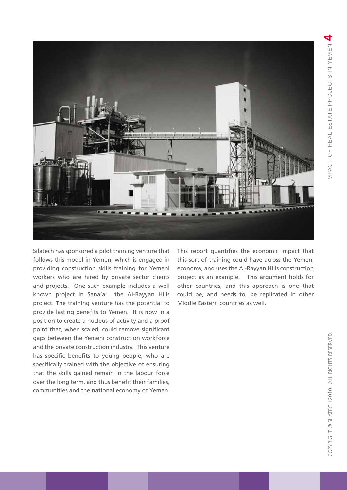

Silatech has sponsored a pilot training venture that follows this model in Yemen, which is engaged in providing construction skills training for Yemeni workers who are hired by private sector clients and projects. One such example includes a well known project in Sana'a: the Al-Rayyan Hills project. The training venture has the potential to provide lasting benefits to Yemen. It is now in a position to create a nucleus of activity and a proof point that, when scaled, could remove significant gaps between the Yemeni construction workforce and the private construction industry. This venture has specific benefits to young people, who are specifically trained with the objective of ensuring that the skills gained remain in the labour force over the long term, and thus benefit their families, communities and the national economy of Yemen.

This report quantifies the economic impact that this sort of training could have across the Yemeni economy, and uses the Al-Rayyan Hills construction project as an example. This argument holds for other countries, and this approach is one that could be, and needs to, be replicated in other Middle Eastern countries as well.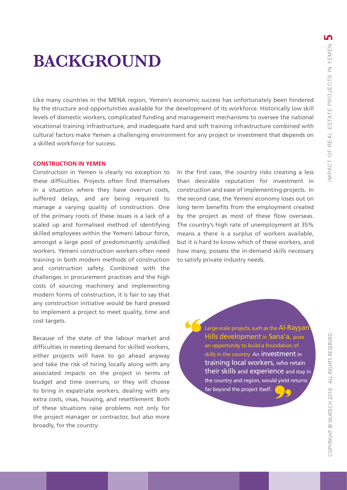### **BACKGROUND**

Like many countries in the MENA region, Yemen's economic success has unfortunately been hindered by the structure and opportunities available for the development of its workforce. Historically low skill levels of domestic workers, complicated funding and management mechanisms to oversee the national vocational training infrastructure, and inadequate hard and soft training infrastructure combined with cultural factors make Yemen a challenging environment for any project or investment that depends on a skilled workforce for success.

### **CONSTRUCTION IN YEMEN**

Construction in Yemen is clearly no exception to these difficulties. Projects often find themselves in a situation where they have overrun costs, suffered delays, and are being required to manage a varying quality of construction. One of the primary roots of these issues is a lack of a scaled up and formalised method of identifying skilled employees within the Yemeni labour force, amongst a large pool of predominantly unskilled workers. Yemeni construction workers often need training in both modern methods of construction and construction safety. Combined with the challenges in procurement practices and the high costs of sourcing machinery and implementing modern forms of construction, it is fair to say that any construction initiative would be hard pressed to implement a project to meet quality, time and cost targets.

Because of the state of the labour market and difficulties in meeting demand for skilled workers, either projects will have to go ahead anyway and take the risk of hiring locally along with any associated impacts on the project in terms of budget and time overruns, or they will choose to bring in expatriate workers, dealing with any extra costs, visas, housing, and resettlement. Both of these situations raise problems not only for the project manager or contractor, but also more broadly, for the country.

In the first case, the country risks creating a less than desirable reputation for investment in construction and ease of implementing projects. In the second case, the Yemeni economy loses out on long term benefits from the employment created by the project as most of these flow overseas. The country's high rate of unemployment at 35% means a there is a surplus of workers available, but it is hard to know which of these workers, and how many, possess the in-demand skills necessary to satisfy private industry needs.

> Large-scale projects, such as the Al-Rayyar Hills development in Sana'a, pose an opportunity to build a foundation of skills in the country. An **investment** in training local workers, who retain their skills and experience and stay in the country and region, would yield returns far beyond the project itself.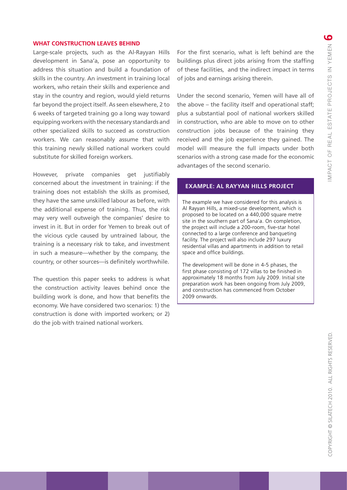### **WHAT CONSTRUCTION LEAVES BEHIND**

Large-scale projects, such as the Al-Rayyan Hills development in Sana'a, pose an opportunity to address this situation and build a foundation of skills in the country. An investment in training local workers, who retain their skills and experience and stay in the country and region, would yield returns far beyond the project itself. As seen elsewhere, 2 to 6 weeks of targeted training go a long way toward equipping workers with the necessary standards and other specialized skills to succeed as construction workers. We can reasonably assume that with this training newly skilled national workers could substitute for skilled foreign workers.

However, private companies get justifiably concerned about the investment in training: if the training does not establish the skills as promised, they have the same unskilled labour as before, with the additional expense of training. Thus, the risk may very well outweigh the companies' desire to invest in it. But in order for Yemen to break out of the vicious cycle caused by untrained labour, the training is a necessary risk to take, and investment in such a measure—whether by the company, the country, or other sources—is definitely worthwhile.

The question this paper seeks to address is what the construction activity leaves behind once the building work is done, and how that benefits the economy. We have considered two scenarios: 1) the construction is done with imported workers; or 2) do the job with trained national workers.

For the first scenario, what is left behind are the buildings plus direct jobs arising from the staffing of these facilities, and the indirect impact in terms of jobs and earnings arising therein.

Under the second scenario, Yemen will have all of the above – the facility itself and operational staff; plus a substantial pool of national workers skilled in construction, who are able to move on to other construction jobs because of the training they received and the job experience they gained. The model will measure the full impacts under both scenarios with a strong case made for the economic advantages of the second scenario.

### **Example: Al Rayyan Hills Project**

The example we have considered for this analysis is Al Rayyan Hills, a mixed-use development, which is proposed to be located on a 440,000 square metre site in the southern part of Sana'a. On completion, the project will include a 200-room, five-star hotel connected to a large conference and banqueting facility. The project will also include 297 luxury residential villas and apartments in addition to retail space and office buildings.

The development will be done in 4-5 phases, the first phase consisting of 172 villas to be finished in approximately 18 months from July 2009. Initial site preparation work has been ongoing from July 2009, and construction has commenced from October 2009 onwards.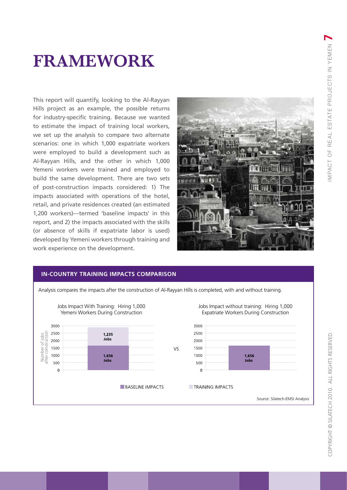## **FrAmework**

This report will quantify, looking to the Al-Rayyan Hills project as an example, the possible returns for industry-specific training. Because we wanted to estimate the impact of training local workers, we set up the analysis to compare two alternate scenarios: one in which 1,000 expatriate workers were employed to build a development such as Al-Rayyan Hills, and the other in which 1,000 Yemeni workers were trained and employed to build the same development. There are two sets of post-construction impacts considered: 1) The impacts associated with operations of the hotel, retail, and private residences created (an estimated 1,200 workers)—termed 'baseline impacts' in this report, and 2) the impacts associated with the skills (or absence of skills if expatriate labor is used) developed by Yemeni workers through training and work experience on the development.



### **In-Country Training impacts comparison**



Analysis compares the impacts after the construction of Al-Rayyan Hills is completed, with and without training.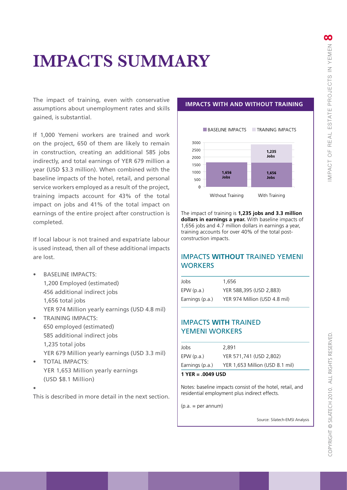### **impacts Summary**

The impact of training, even with conservative assumptions about unemployment rates and skills gained, is substantial.

If 1,000 Yemeni workers are trained and work on the project, 650 of them are likely to remain in construction, creating an additional 585 jobs indirectly, and total earnings of YER 679 million a year (USD \$3.3 million). When combined with the baseline impacts of the hotel, retail, and personal service workers employed as a result of the project, training impacts account for 43% of the total impact on jobs and 41% of the total impact on earnings of the entire project after construction is completed.

If local labour is not trained and expatriate labour is used instead, then all of these additional impacts are lost.

- **BASELINE IMPACTS:** 1,200 Employed (estimated) 456 additional indirect jobs 1,656 total jobs YER 974 Million yearly earnings (USD 4.8 mil) **TRAINING IMPACTS:**
- 650 employed (estimated) 585 additional indirect jobs 1,235 total jobs YER 679 Million yearly earnings (USD 3.3 mil)
- TOTAL IMPACTS: YER 1,653 Million yearly earnings (USD \$8.1 Million)
- •

This is described in more detail in the next section.

### **Impacts With and Without Training**



The impact of training is **1,235 jobs and 3.3 million dollars in earnings a year.** With baseline impacts of 1,656 jobs and 4.7 million dollars in earnings a year, training accounts for over 40% of the total postconstruction impacts.

### IMPACTS **WITHOUT** TRAINED YEMENI **WORKERS**

| Jobs              | 1.656                         |
|-------------------|-------------------------------|
| EPW(p.a.)         | YER 588.395 (USD 2.883)       |
| Earnings $(p.a.)$ | YER 974 Million (USD 4.8 mil) |

### IMPACTS **WITH** TRAINED YEMENI WORKERS

| Jobs            | 2.891                           |
|-----------------|---------------------------------|
| EPW $(p.a.)$    | YER 571,741 (USD 2,802)         |
| Earnings (p.a.) | YER 1,653 Million (USD 8.1 mil) |

#### $1 \text{ YFR} = 0049 \text{ l}$

Notes: baseline impacts consist of the hotel, retail, and residential employment plus indirect effects.

 $(p.a. = per annum)$ 

Source: Silatech-EMSI Analysis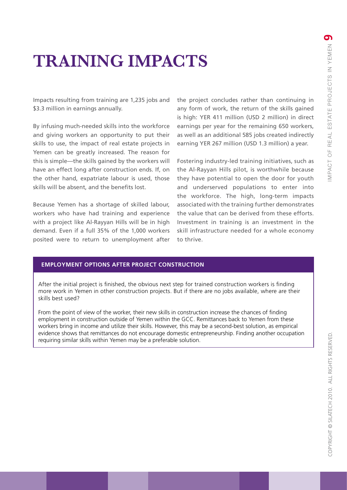## **Training Impacts**

Impacts resulting from training are 1,235 jobs and \$3.3 million in earnings annually.

By infusing much-needed skills into the workforce and giving workers an opportunity to put their skills to use, the impact of real estate projects in Yemen can be greatly increased. The reason for this is simple—the skills gained by the workers will have an effect long after construction ends. If, on the other hand, expatriate labour is used, those skills will be absent, and the benefits lost.

Because Yemen has a shortage of skilled labour, workers who have had training and experience with a project like Al-Rayyan Hills will be in high demand. Even if a full 35% of the 1,000 workers posited were to return to unemployment after the project concludes rather than continuing in any form of work, the return of the skills gained is high: YER 411 million (USD 2 million) in direct earnings per year for the remaining 650 workers, as well as an additional 585 jobs created indirectly earning YER 267 million (USD 1.3 million) a year.

Fostering industry-led training initiatives, such as the Al-Rayyan Hills pilot, is worthwhile because they have potential to open the door for youth and underserved populations to enter into the workforce. The high, long-term impacts associated with the training further demonstrates the value that can be derived from these efforts. Investment in training is an investment in the skill infrastructure needed for a whole economy to thrive.

### **Employment Options After Project Construction**

After the initial project is finished, the obvious next step for trained construction workers is finding more work in Yemen in other construction projects. But if there are no jobs available, where are their skills best used?

From the point of view of the worker, their new skills in construction increase the chances of finding employment in construction outside of Yemen within the GCC. Remittances back to Yemen from these workers bring in income and utilize their skills. However, this may be a second-best solution, as empirical evidence shows that remittances do not encourage domestic entrepreneurship. Finding another occupation requiring similar skills within Yemen may be a preferable solution.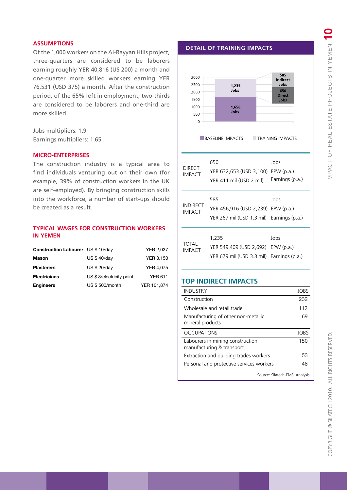### **Assumptions**

Of the 1,000 workers on the Al-Rayyan Hills project, three-quarters are considered to be laborers earning roughly YER 40,816 (US 200) a month and one-quarter more skilled workers earning YER 76,531 (USD 375) a month. After the construction period, of the 65% left in employment, two-thirds are considered to be laborers and one-third are more skilled.

Jobs multipliers: 1.9 Earnings multipliers: 1.65

#### **MICRO-ENTERPRISES**

The construction industry is a typical area to find individuals venturing out on their own (for example, 39% of construction workers in the UK are self-employed). By bringing construction skills into the workforce, a number of start-ups should be created as a result.

### **Typical wages for construction workers in Yemen**

| <b>Construction Labourer</b> US \$ 10/day |                          | <b>YER 2,037</b> |
|-------------------------------------------|--------------------------|------------------|
| <b>Mason</b>                              | <b>US \$40/day</b>       | <b>YER 8,150</b> |
| <b>Plasterers</b>                         | US \$ 20/day             | <b>YER 4.075</b> |
| <b>Electricians</b>                       | US \$3/electricity point | <b>YER 611</b>   |
| <b>Engineers</b>                          | US \$500/month           | YER 101.874      |

**Detail of TRaining Impacts**



| <b>DIRECT</b><br><b>IMPACT</b>   | 650<br>YER 632,653 (USD 3,100)<br>YER 411 mil (USD 2 mil)                              | Jobs<br>EPW(p.a.)<br>Earnings (p.a.) |
|----------------------------------|----------------------------------------------------------------------------------------|--------------------------------------|
| <b>INDIRECT</b><br><b>IMPACT</b> | 585<br>YER 456,916 (USD 2,239) EPW (p.a.)<br>YER 267 mil (USD 1.3 mil) Earnings (p.a.) | Jobs                                 |
| <b>TOTAL</b><br><b>IMPACT</b>    | 1,235<br>YER 549,409 (USD 2,692)<br>YER 679 mil (USD 3.3 mil)                          | Jobs<br>EPW(p.a.)<br>Earnings (p.a.) |

### **Top Indirect Impacts**

| <b>INDUSTRY</b>                                               | <b>JOBS</b> |
|---------------------------------------------------------------|-------------|
| Construction                                                  | 232         |
| Wholesale and retail trade                                    | 112         |
| Manufacturing of other non-metallic<br>mineral products       | 69          |
| <b>OCCUPATIONS</b>                                            | JOBS        |
| Labourers in mining construction<br>manufacturing & transport | 150         |
|                                                               | 53          |
| Extraction and building trades workers                        |             |

Source: Silatech-EMSI Analysis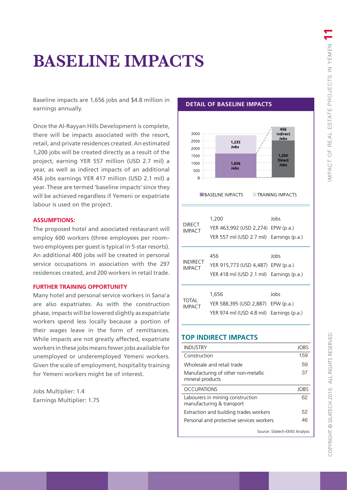### **Baseline impacts**

Baseline impacts are 1,656 jobs and \$4.8 million in earnings annually.

Once the Al-Rayyan Hills Development is complete, there will be impacts associated with the resort, retail, and private residences created. An estimated 1,200 jobs will be created directly as a result of the project, earning YER 557 million (USD 2.7 mil) a year, as well as indirect impacts of an additional 456 jobs earnings YER 417 million (USD 2.1 mil) a year. These are termed 'baseline impacts' since they will be achieved regardless if Yemeni or expatriate labour is used on the project.

#### **Assumptions:**

The proposed hotel and associated restaurant will employ 600 workers (three employees per room– two employees per guest is typical in 5-star resorts). An additional 400 jobs will be created in personal service occupations in association with the 297 residences created, and 200 workers in retail trade.

### **Further Training Opportunity**

Many hotel and personal service workers in Sana'a are also expatriates. As with the construction phase, impacts will be lowered slightly as expatriate workers spend less locally because a portion of their wages leave in the form of remittances. While impacts are not greatly affected, expatriate workers in these jobs means fewer jobs available for unemployed or underemployed Yemeni workers. Given the scale of employment, hospitality training for Yemeni workers might be of interest.

Jobs Multiplier: 1.4 Earnings Multiplier: 1.75

#### **Detail of Baseline Impacts**



### **Top Indirect Impacts**

| <b>INDUSTRY</b>                                               | JOBS                           |
|---------------------------------------------------------------|--------------------------------|
| Construction                                                  | 159                            |
| Wholesale and retail trade                                    | 59                             |
| Manufacturing of other non-metallic<br>mineral products       | 37                             |
| <b>OCCUPATIONS</b>                                            | JOBS                           |
| Labourers in mining construction<br>manufacturing & transport | 62                             |
| Extraction and building trades workers                        | 52                             |
| Personal and protective services workers                      | 46                             |
|                                                               | Source: Silatech-EMSI Analysis |

# ALL RIGHTS RESERVED COPYRIGHT © SILATECH 2010. ch 2010. Copyright © Silate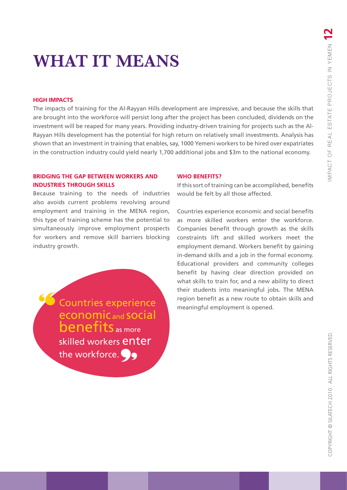### **What it means**

### **HIGH IMPACTS**

The impacts of training for the Al-Rayyan Hills development are impressive, and because the skills that are brought into the workforce will persist long after the project has been concluded, dividends on the investment will be reaped for many years. Providing industry-driven training for projects such as the Al-Rayyan Hills development has the potential for high return on relatively small investments. Analysis has shown that an investment in training that enables, say, 1000 Yemeni workers to be hired over expatriates in the construction industry could yield nearly 1,700 additional jobs and \$3m to the national economy.

### **BRIDGING THE GAP BETWEEN WORKERS AND INDUSTRIES THROUGH SKILLS**

Because training to the needs of industries also avoids current problems revolving around employment and training in the MENA region, this type of training scheme has the potential to simultaneously improve employment prospects for workers and remove skill barriers blocking industry growth.

> **Countries experience** enterprisement is opened. economic and social benefits as more skilled workers enter the workforce.

### **WHO BENEFITS?**

If this sort of training can be accomplished, benefits would be felt by all those affected.

Countries experience economic and social benefits as more skilled workers enter the workforce. Companies benefit through growth as the skills constraints lift and skilled workers meet the employment demand. Workers benefit by gaining in-demand skills and a job in the formal economy. Educational providers and community colleges benefit by having clear direction provided on what skills to train for, and a new ability to direct their students into meaningful jobs. The MENA region benefit as a new route to obtain skills and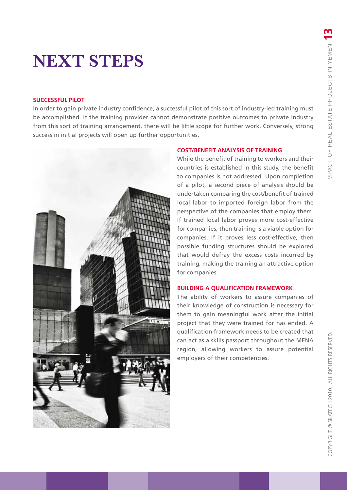### **SUCCESSFUL PILOT**

**NEXT STEPS**<br>
SUCCESSFUL PILOT<br>
In order to gain private industry confidence, a successful pilot of this sort of industry-led training must<br>
be accomplished. If the training provider cannot demonstrate positive outcomes to In order to gain private industry confidence, a successful pilot of this sort of industry-led training must be accomplished. If the training provider cannot demonstrate positive outcomes to private industry from this sort of training arrangement, there will be little scope for further work. Conversely, strong success in initial projects will open up further opportunities.



### **COST/BENEFIT ANALYSIS OF TRAINING**

While the benefit of training to workers and their countries is established in this study, the benefit to companies is not addressed. Upon completion of a pilot, a second piece of analysis should be undertaken comparing the cost/benefit of trained local labor to imported foreign labor from the perspective of the companies that employ them. If trained local labor proves more cost-effective for companies, then training is a viable option for companies. If it proves less cost-effective, then possible funding structures should be explored that would defray the excess costs incurred by training, making the training an attractive option for companies.

### **BUILDING A QUALIFICATION FRAMEWORK**

The ability of workers to assure companies of their knowledge of construction is necessary for them to gain meaningful work after the initial project that they were trained for has ended. A qualification framework needs to be created that can act as a skills passport throughout the MENA region, allowing workers to assure potential employers of their competencies.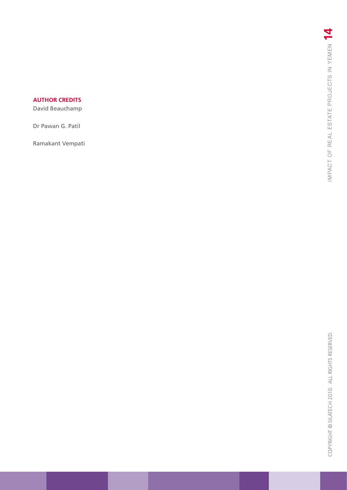### **author credits**

David Beauchamp

Dr Pawan G. Patil

Ramakant Vempati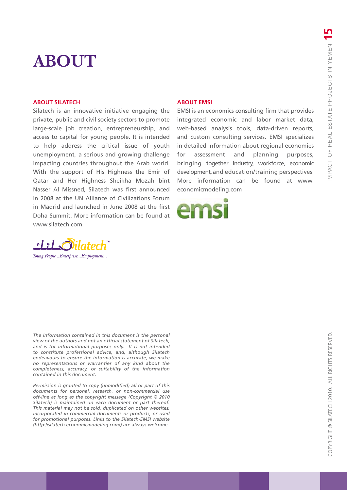### **About**

#### **About Silatech**

Silatech is an innovative initiative engaging the private, public and civil society sectors to promote large-scale job creation, entrepreneurship, and access to capital for young people. It is intended to help address the critical issue of youth unemployment, a serious and growing challenge impacting countries throughout the Arab world. With the support of His Highness the Emir of Qatar and Her Highness Sheikha Mozah bint Nasser Al Missned, Silatech was first announced in 2008 at the UN Alliance of Civilizations Forum in Madrid and launched in June 2008 at the first Doha Summit. More information can be found at www.silatech.com.

#### **About EMSI**

EMSI is an economics consulting firm that provides integrated economic and labor market data, web-based analysis tools, data-driven reports, and custom consulting services. EMSI specializes in detailed information about regional economies for assessment and planning purposes, bringing together industry, workforce, economic development, and education/training perspectives. More information can be found at www. economicmodeling.com





*The information contained in this document is the personal view of the authors and not an official statement of Silatech, and is for informational purposes only. It is not intended to constitute professional advice, and, although Silatech endeavours to ensure the information is accurate, we make no representations or warranties of any kind about the completeness, accuracy, or suitability of the information contained in this document.* 

*Permission is granted to copy (unmodified) all or part of this documents for personal, research, or non-commercial use off-line as long as the copyright message (Copyright © 2010 Silatech) is maintained on each document or part thereof. This material may not be sold, duplicated on other websites, incorporated in commercial documents or products, or used for promotional purposes. Links to the Silatech-EMSI website (http://silatech.economicmodeling.com/) are always welcome.*